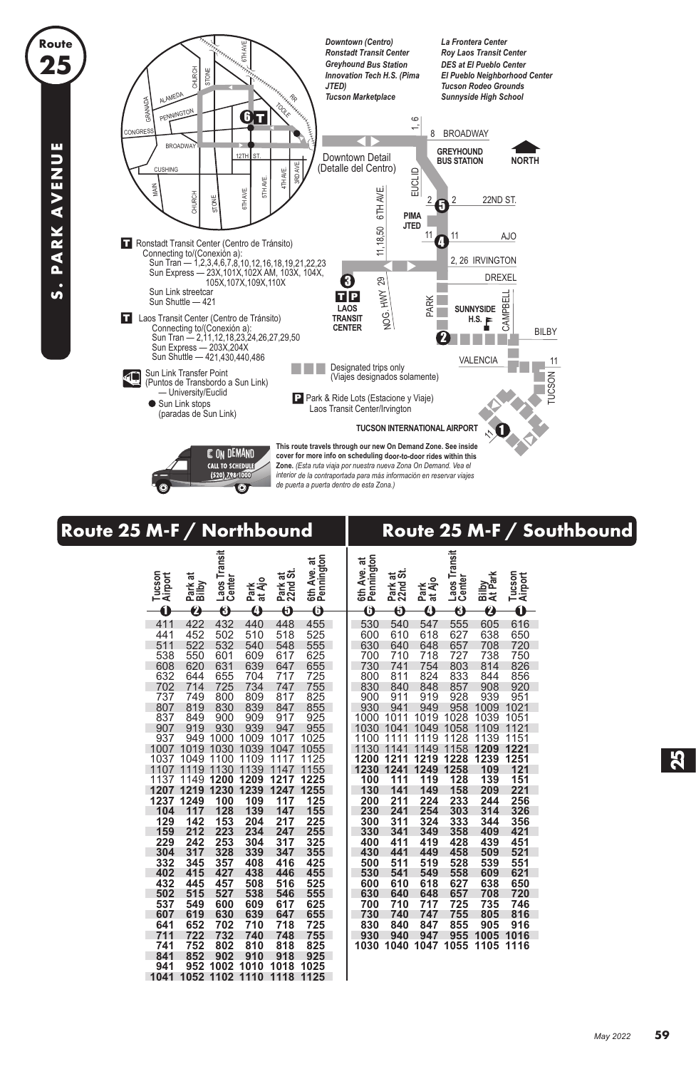

**Route 25**

**S. PARK AVENUE**

S. PARK AVENUE

## **Route 25 M-F / Northbound Route 25 M-F / Southbound**

| Tucson<br>Airport                                                                                                                                                                                                  | Park at<br>Bilby                                                                                                                                                                                                                  | Laos Transit<br>Center                                                                                                                                                                                                               | Park<br>at Ajo                                                                                                                                                                                                     | Park at<br>22nd St.                                                                                                                                                                                                | 6th Ave. at<br>Pennington                                                                                                                                                                                          | 6th Ave. at<br>Pennington                                                                                                                                                                                          | ಹ<br>Park at<br>22nd St                                                                                                                                                                                            | at Ajo<br>Park                                                                                                                                                                                                     | Laos Transit<br>Center                                                                                                                                                                                                              | Bilby<br>At Park                                                                                                                                                                                                   | Tucson<br>Airport                                                                                                                                                                                                  |
|--------------------------------------------------------------------------------------------------------------------------------------------------------------------------------------------------------------------|-----------------------------------------------------------------------------------------------------------------------------------------------------------------------------------------------------------------------------------|--------------------------------------------------------------------------------------------------------------------------------------------------------------------------------------------------------------------------------------|--------------------------------------------------------------------------------------------------------------------------------------------------------------------------------------------------------------------|--------------------------------------------------------------------------------------------------------------------------------------------------------------------------------------------------------------------|--------------------------------------------------------------------------------------------------------------------------------------------------------------------------------------------------------------------|--------------------------------------------------------------------------------------------------------------------------------------------------------------------------------------------------------------------|--------------------------------------------------------------------------------------------------------------------------------------------------------------------------------------------------------------------|--------------------------------------------------------------------------------------------------------------------------------------------------------------------------------------------------------------------|-------------------------------------------------------------------------------------------------------------------------------------------------------------------------------------------------------------------------------------|--------------------------------------------------------------------------------------------------------------------------------------------------------------------------------------------------------------------|--------------------------------------------------------------------------------------------------------------------------------------------------------------------------------------------------------------------|
|                                                                                                                                                                                                                    |                                                                                                                                                                                                                                   |                                                                                                                                                                                                                                      |                                                                                                                                                                                                                    |                                                                                                                                                                                                                    |                                                                                                                                                                                                                    |                                                                                                                                                                                                                    |                                                                                                                                                                                                                    |                                                                                                                                                                                                                    |                                                                                                                                                                                                                                     |                                                                                                                                                                                                                    |                                                                                                                                                                                                                    |
| Ó<br>411<br>441<br>511<br>538<br>608<br>632<br>702<br>737<br>807<br>837<br>907<br>937<br>1007<br>1037<br>1107<br>1137<br>1207<br>1237<br>104<br>129<br>159<br>229<br>304<br>332<br>402<br>432<br>502<br>537<br>607 | $\boldsymbol{c}$<br>422<br>452<br>522<br>550<br>620<br>644<br>714<br>749<br>819<br>849<br>919<br>949<br>1019<br>1049<br>1119<br>1149<br>1219<br>1249<br>117<br>142<br>212<br>242<br>317<br>345<br>415<br>445<br>515<br>549<br>619 | $\overline{\bf{6}}$<br>432<br>502<br>532<br>601<br>631<br>655<br>725<br>800<br>830<br>900<br>930<br>1000<br>1030<br>1100<br>1130<br>1200<br>1230<br>100<br>128<br>153<br>223<br>253<br>328<br>357<br>427<br>457<br>527<br>600<br>630 | A<br>440<br>510<br>540<br>609<br>639<br>704<br>734<br>809<br>839<br>909<br>939<br>1009<br>1039<br>1109<br>1139<br>1209<br>1239<br>109<br>139<br>204<br>234<br>304<br>339<br>408<br>438<br>508<br>538<br>609<br>639 | Ā<br>448<br>518<br>548<br>617<br>647<br>717<br>747<br>817<br>847<br>917<br>947<br>1017<br>1047<br>1117<br>1147<br>1217<br>1247<br>117<br>147<br>217<br>247<br>317<br>347<br>416<br>446<br>516<br>546<br>617<br>647 | Â<br>455<br>525<br>555<br>625<br>655<br>725<br>755<br>825<br>855<br>925<br>955<br>1025<br>1055<br>1125<br>1155<br>1225<br>1255<br>125<br>155<br>225<br>255<br>325<br>355<br>425<br>455<br>525<br>555<br>625<br>655 | 6<br>530<br>600<br>630<br>700<br>730<br>800<br>830<br>900<br>930<br>1000<br>1030<br>1100<br>1130<br>1200<br>1230<br>100<br>130<br>200<br>230<br>300<br>330<br>400<br>430<br>500<br>530<br>600<br>630<br>700<br>730 | 6<br>540<br>610<br>640<br>710<br>741<br>811<br>840<br>911<br>941<br>1011<br>1041<br>1111<br>1141<br>1211<br>1241<br>111<br>141<br>211<br>241<br>311<br>341<br>411<br>441<br>511<br>541<br>610<br>640<br>710<br>740 | 0<br>547<br>618<br>648<br>718<br>754<br>824<br>848<br>919<br>949<br>1019<br>1049<br>1119<br>1149<br>1219<br>1249<br>119<br>149<br>224<br>254<br>324<br>349<br>419<br>449<br>519<br>549<br>618<br>648<br>717<br>747 | $\overline{\bf 0}$<br>555<br>627<br>657<br>727<br>803<br>833<br>857<br>928<br>958<br>1028<br>1058<br>1128<br>1158<br>1228<br>1258<br>128<br>158<br>233<br>303<br>333<br>358<br>428<br>458<br>528<br>558<br>627<br>657<br>725<br>755 | 2<br>605<br>638<br>708<br>738<br>814<br>844<br>908<br>939<br>1009<br>1039<br>1109<br>1139<br>1209<br>1239<br>109<br>139<br>209<br>244<br>314<br>344<br>409<br>439<br>509<br>539<br>609<br>638<br>708<br>735<br>805 | Ó<br>616<br>650<br>720<br>750<br>826<br>856<br>920<br>951<br>1021<br>1051<br>1121<br>1151<br>1221<br>1251<br>121<br>151<br>221<br>256<br>326<br>356<br>421<br>451<br>521<br>551<br>621<br>650<br>720<br>746<br>816 |
| 641                                                                                                                                                                                                                | 652                                                                                                                                                                                                                               | 702                                                                                                                                                                                                                                  | 710                                                                                                                                                                                                                | 718                                                                                                                                                                                                                | 725                                                                                                                                                                                                                | 830                                                                                                                                                                                                                | 840                                                                                                                                                                                                                | 847                                                                                                                                                                                                                | 855                                                                                                                                                                                                                                 | 905                                                                                                                                                                                                                | 916                                                                                                                                                                                                                |
| 711                                                                                                                                                                                                                | 722                                                                                                                                                                                                                               | 732                                                                                                                                                                                                                                  | 740                                                                                                                                                                                                                | 748                                                                                                                                                                                                                | 755                                                                                                                                                                                                                | 930                                                                                                                                                                                                                | 940                                                                                                                                                                                                                | 947                                                                                                                                                                                                                | 955                                                                                                                                                                                                                                 | 1005                                                                                                                                                                                                               | 1016                                                                                                                                                                                                               |
| 741<br>841                                                                                                                                                                                                         | 752<br>852                                                                                                                                                                                                                        | 802<br>902                                                                                                                                                                                                                           | 810<br>910                                                                                                                                                                                                         | 818<br>918                                                                                                                                                                                                         | 825<br>925                                                                                                                                                                                                         | 1030                                                                                                                                                                                                               | 1040                                                                                                                                                                                                               | 047<br>1                                                                                                                                                                                                           | 1055                                                                                                                                                                                                                                | 1105                                                                                                                                                                                                               | 1116                                                                                                                                                                                                               |
| 941                                                                                                                                                                                                                | 952                                                                                                                                                                                                                               | 1002                                                                                                                                                                                                                                 | 1010                                                                                                                                                                                                               | 1018                                                                                                                                                                                                               |                                                                                                                                                                                                                    |                                                                                                                                                                                                                    |                                                                                                                                                                                                                    |                                                                                                                                                                                                                    |                                                                                                                                                                                                                                     |                                                                                                                                                                                                                    |                                                                                                                                                                                                                    |
| 1041                                                                                                                                                                                                               | 1052                                                                                                                                                                                                                              | 1102                                                                                                                                                                                                                                 | 1110                                                                                                                                                                                                               | 1118                                                                                                                                                                                                               | 1025<br>1125                                                                                                                                                                                                       |                                                                                                                                                                                                                    |                                                                                                                                                                                                                    |                                                                                                                                                                                                                    |                                                                                                                                                                                                                                     |                                                                                                                                                                                                                    |                                                                                                                                                                                                                    |
|                                                                                                                                                                                                                    |                                                                                                                                                                                                                                   |                                                                                                                                                                                                                                      |                                                                                                                                                                                                                    |                                                                                                                                                                                                                    |                                                                                                                                                                                                                    |                                                                                                                                                                                                                    |                                                                                                                                                                                                                    |                                                                                                                                                                                                                    |                                                                                                                                                                                                                                     |                                                                                                                                                                                                                    |                                                                                                                                                                                                                    |